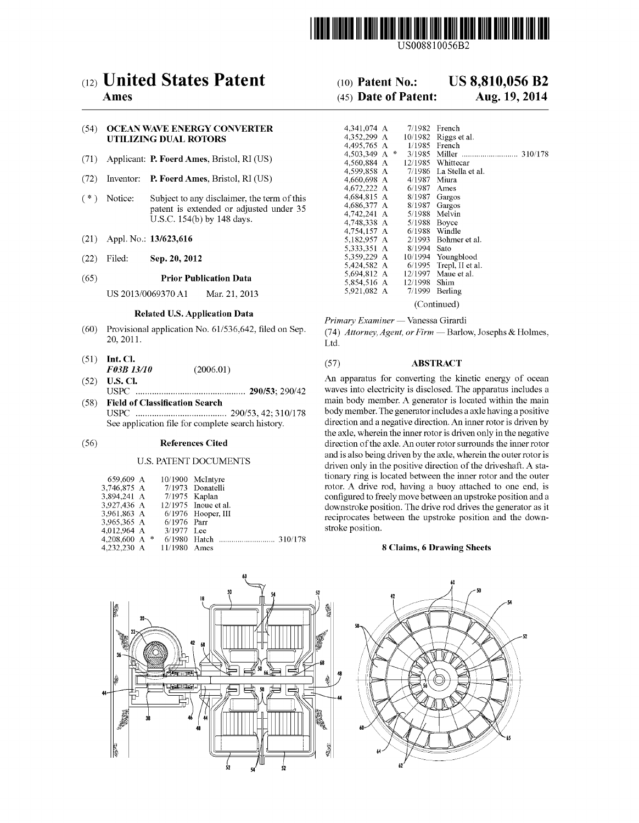

US008810056B2

# (12) United States Patent

# Ames

# (54) OCEAN WAVE ENERGY CONVERTER **UTILIZING DUAL ROTORS**

- (71) Applicant: P. Foerd Ames, Bristol, RI (US)
- $(72)$ Inventor: P. Foerd Ames, Bristol, RI (US)
- $(* )$ Notice: Subject to any disclaimer, the term of this patent is extended or adjusted under 35 U.S.C. 154(b) by 148 days.
- $(21)$ Appl. No.: 13/623,616
- Filed: Sep. 20, 2012  $(22)$

#### $(65)$ **Prior Publication Data**

US 2013/0069370 A1 Mar. 21, 2013

# **Related U.S. Application Data**

- Provisional application No. 61/536,642, filed on Sep.  $(60)$ 20, 2011.
- $(51)$  Int. Cl.  $(2006.01)$ F03B 13/10
- $(52)$  **U.S. Cl.**
- (58) Field of Classification Search See application file for complete search history.

#### $(56)$ **References Cited**

## **U.S. PATENT DOCUMENTS**

| 659.609 A       |               | 10/1900 McIntyre       |
|-----------------|---------------|------------------------|
| 3.746.875 A     |               | 7/1973 Donatelli       |
| 3,894,241 A     | 7/1975 Kaplan |                        |
| 3.927.436 A     |               | $12/1975$ Inoue et al. |
| 3.961.863 A     |               | $6/1976$ Hooper, III   |
| 3,965,365 A     | 6/1976 Parr   |                        |
| 4.012.964 A     | $3/1977$ Lee  |                        |
| 4.208,600 A $*$ |               |                        |
| 4,232,230 A     | 11/1980 Ames  |                        |

### **US 8,810,056 B2**  $(10)$  Patent No.:

### (45) Date of Patent: Aug. 19, 2014

| 4.341.074 A   |  |  | 7/1982  | French           |  |
|---------------|--|--|---------|------------------|--|
| 4.352.299 A   |  |  | 10/1982 | Riggs et al.     |  |
| 4.495.765 A   |  |  | 1/1985  | French           |  |
| 4,503,349 A * |  |  | 3/1985  |                  |  |
| 4.560.884 A   |  |  | 12/1985 | Whittecar        |  |
| 4.599.858 A   |  |  | 7/1986  | La Stella et al. |  |
| 4,660,698 A   |  |  | 4/1987  | Miura            |  |
| 4,672,222 A   |  |  | 6/1987  | Ames             |  |
| 4,684,815 A   |  |  | 8/1987  | Gargos           |  |
| 4.686.377 A   |  |  | 8/1987  | Gargos           |  |
| 4,742,241 A   |  |  | 5/1988  | Melvin           |  |
| 4.748,338 A   |  |  | 5/1988  | Boyce            |  |
| 4,754,157 A   |  |  | 6/1988  | Windle           |  |
| 5.182.957 A   |  |  | 2/1993  | Bohmer et al.    |  |
| 5,333,351 A   |  |  | 8/1994  | Sato             |  |
| 5,359,229 A   |  |  | 10/1994 | Youngblood       |  |
| 5,424,582 A   |  |  | 6/1995  | Trepl, II et al. |  |
| 5.694.812 A   |  |  | 12/1997 | Maue et al.      |  |
| 5,854,516 A   |  |  | 12/1998 | Shim             |  |
| 5.921.082 A   |  |  | 7/1999  | Berling          |  |
| (Continued)   |  |  |         |                  |  |

Primary Examiner - Vanessa Girardi

(74) Attorney, Agent, or Firm - Barlow, Josephs & Holmes, Ltd.

#### $(57)$ **ABSTRACT**

An apparatus for converting the kinetic energy of ocean waves into electricity is disclosed. The apparatus includes a main body member. A generator is located within the main body member. The generator includes a axle having a positive direction and a negative direction. An inner rotor is driven by the axle, wherein the inner rotor is driven only in the negative direction of the axle. An outer rotor surrounds the inner rotor and is also being driven by the axle, wherein the outer rotor is driven only in the positive direction of the driveshaft. A stationary ring is located between the inner rotor and the outer rotor. A drive rod, having a buoy attached to one end, is configured to freely move between an upstroke position and a downstroke position. The drive rod drives the generator as it reciprocates between the upstroke position and the downstroke position.

# 8 Claims, 6 Drawing Sheets



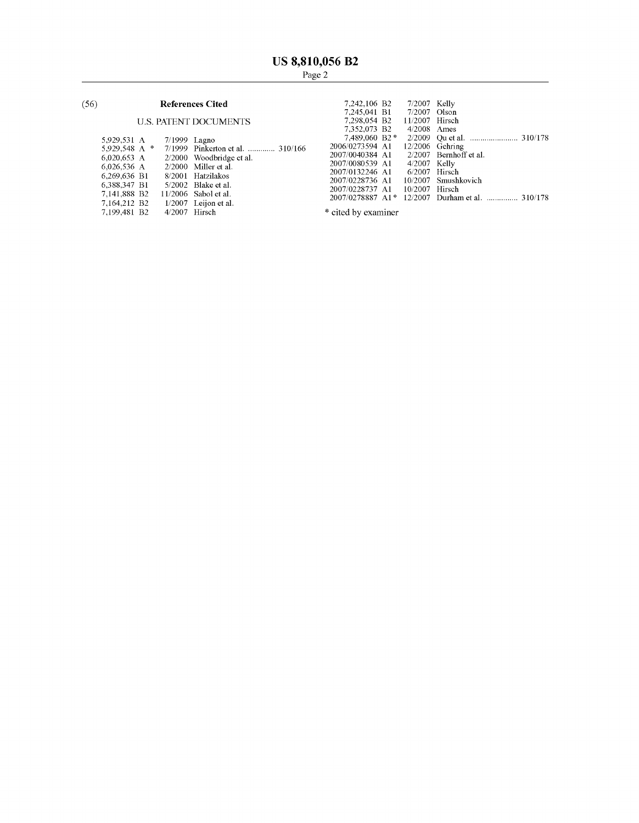### $(56)$ **References Cited**

# **U.S. PATENT DOCUMENTS**

| 5.929.531 A  | 7/1999 Lagno  |                                                |
|--------------|---------------|------------------------------------------------|
|              |               | 5,929,548 A * 7/1999 Pinkerton et al.  310/166 |
| 6,020,653 A  |               | 2/2000 Woodbridge et al.                       |
| 6,026,536 A  |               | $2/2000$ Miller et al.                         |
| 6.269.636 B1 |               | – 8/2001 Hatzilakos                            |
| 6.388.347 B1 |               | $5/2002$ Blake et al.                          |
| 7.141.888 B2 |               | $11/2006$ Sabol et al.                         |
| 7,164,212 B2 |               | $1/2007$ Leijon et al.                         |
| 7,199,481 B2 | 4/2007 Hirsch |                                                |
|              |               |                                                |

| 7,242,106 B2     | 7/2007 Kelly    |                                |
|------------------|-----------------|--------------------------------|
| 7.245.041 B1     | $7/2007$ Olson  |                                |
| 7,298,054 B2     | 11/2007 Hirsch  |                                |
| 7,352,073 B2     | $4/2008$ Ames   |                                |
| 7.489,060 B2*    |                 |                                |
| 2006/0273594 A1  |                 | 12/2006 Gehring                |
| 2007/0040384 A1  |                 | $2/2007$ Bernhoff et al.       |
| 2007/0080539 A1  | $4/2007$ Kelly  |                                |
| 2007/0132246 A1  | $6/2007$ Hirsch |                                |
| 2007/0228736 A1  |                 | 10/2007 Smushkovich            |
| 2007/0228737 A1  | 10/2007         | Hirsch                         |
| 2007/0278887 A1* |                 | 12/2007 Durham et al.  310/178 |

\* cited by examiner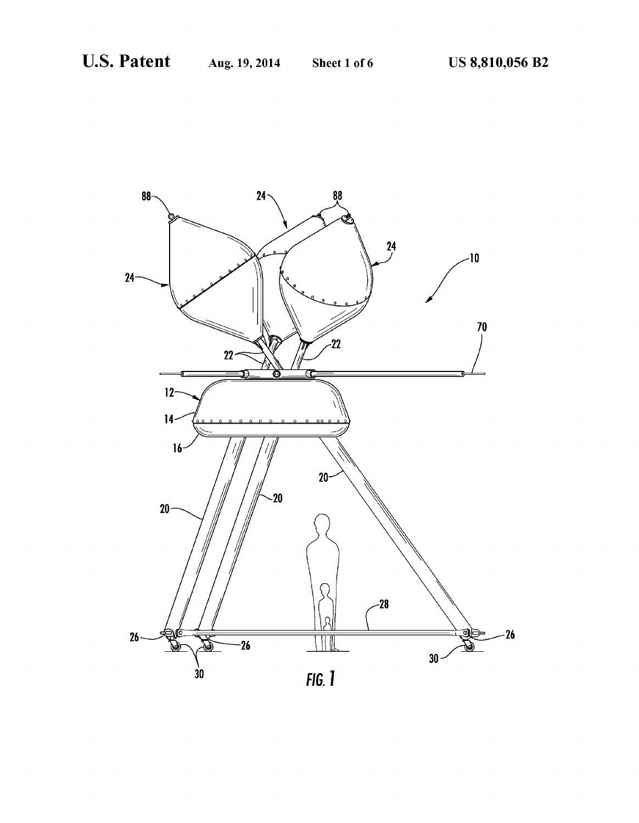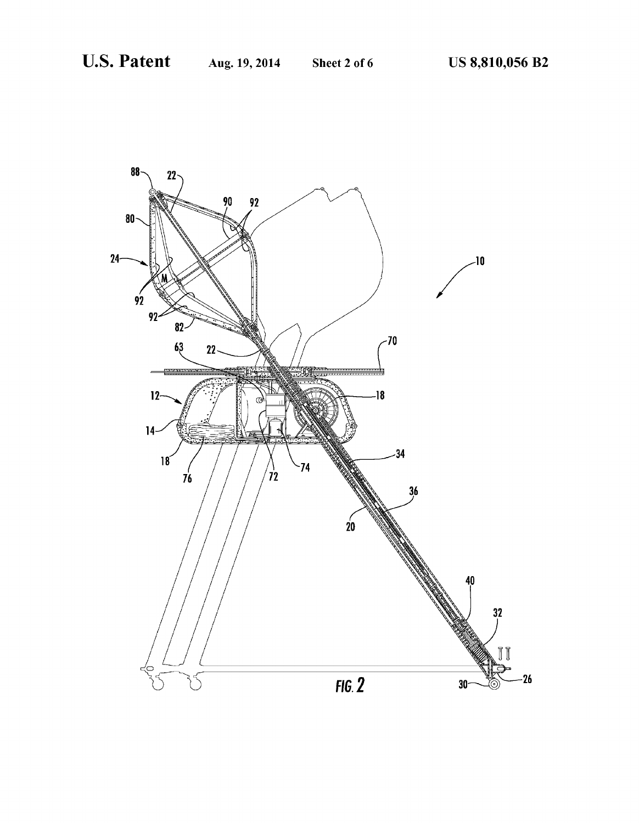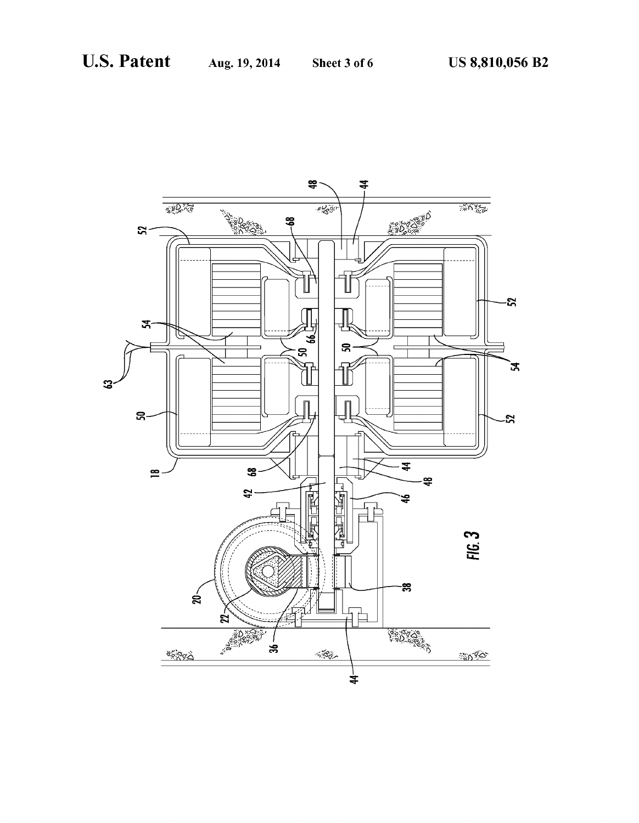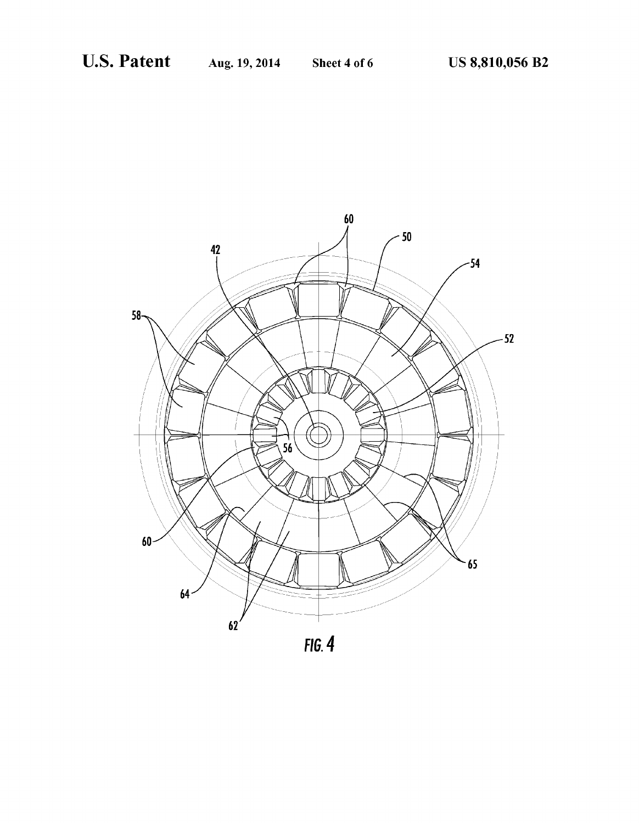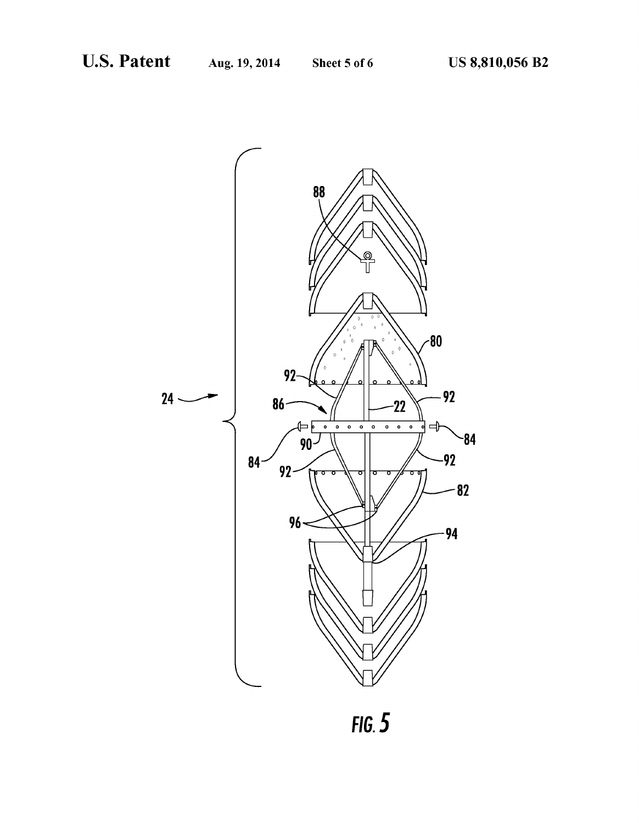

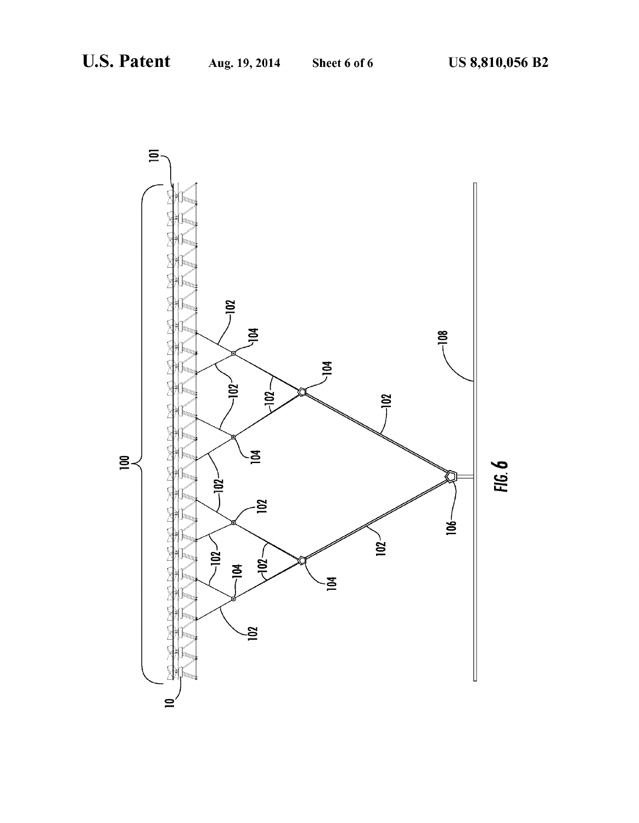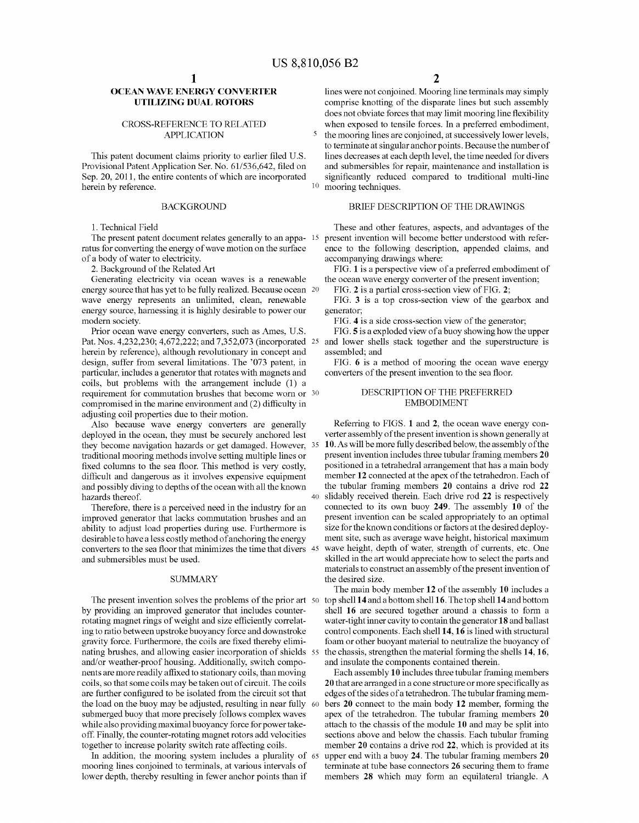# OCEAN WAVE ENERGY CONVERTER UTILIZING DUAL ROTORS

## CROSS-REFERENCE TO RELATED APPLICATION

This patent document claims priority to earlier filed U.S. Provisional Patent Application Ser. No. 61/536,642, filed on Sep. 20, 2011, the entire contents of which are incorporated herein by reference.

### BACKGROUND

1. Technical Field

ratus for converting the energy of wave motion on the surface of a body of water to electricity.

2. Background of the Related Art

Generating electricity via ocean waves is a renewable energy source that has yet to be fully realized. Because ocean 20 wave energy represents an unlimited, clean, renewable energy source, harnessing it is highly desirable to power our modern society.

Prior ocean wave energy converters, such as Ames, US. Pat. Nos. 4,232,230; 4,672,222; and 7,352,073 (incorporated 25 and lower shells stack together and the superstructure is herein by reference), although revolutionary in concept and design, suffer from several limitations. The '073 patent, in particular, includes a generator that rotates with magnets and coils, but problems with the arrangement include (1) a requirement for commutation brushes that become worn or 30 compromised in the marine environment and  $(2)$  difficulty in adjusting coil properties due to their motion.

Also because wave energy converters are generally deployed in the ocean, they must be securely anchored lest they become navigation hazards or get damaged. However, 35 traditional mooring methods involve setting multiple lines or fixed columns to the sea floor. This method is very costly, difficult and dangerous as it involves expensive equipment and possibly diving to depths of the ocean with all the known hazards thereof. 40

Therefore, there is a perceived need in the industry for an improved generator that lacks commutation brushes and an ability to adjust load properties during use. Furthermore is desirable to have a less costly method of anchoring the energy converters to the sea floor that minimizes the time that divers  $45$ and submersibles must be used.

## SUMMARY

The present invention solves the problems of the prior art 50 by providing an improved generator that includes counter rotating magnet rings of weight and size efficiently correlating to ratio between upstroke buoyancy force and downstroke gravity force. Furthermore, the coils are fixed thereby eliminating brushes, and allowing easier incorporation of shields 55 and/or weather-proof housing. Additionally, switch compo nents are more readily affixed to stationary coils, than moving coils, so that some coils may be taken out of circuit. The coils are further configured to be isolated from the circuit sot that the load on the buoy may be adjusted, resulting in near fully 60 submerged buoy that more precisely follows complex waves while also providing maximal buoyancy force for power take off. Finally, the counter-rotating magnet rotors add velocities together to increase polarity switch rate affecting coils.

In addition, the mooring system includes a plurality of 65 mooring lines conjoined to terminals, at various intervals of lower depth, thereby resulting in fewer anchor points than if

lines were not conjoined. Mooring line terminals may simply comprise knotting of the disparate lines but such assembly does not obviate forces that may limit mooring line flexibility when exposed to tensile forces. In a preferred embodiment, the mooring lines are conjoined, at successively lower levels, to terminate at singular anchor points. Because the number of lines decreases at each depth level, the time needed for divers and submersibles for repair, maintenance and installation is significantly reduced compared to traditional multi-line mooring techniques.

# BRIEF DESCRIPTION OF THE DRAWINGS

The present patent document relates generally to an appa- 15 present invention will become better understood with refer-These and other features, aspects, and advantages of the ence to the following description, appended claims, and accompanying drawings where:

> FIG. 1 is a perspective view of a preferred embodiment of the ocean wave energy converter of the present invention;

FIG. 2 is a partial cross-section view of FIG. 2;

FIG. 3 is a top cross-section view of the gearbox and generator;

FIG. 4 is a side cross-section view of the generator;

FIG. 5 is a exploded view of a buoy showing how the upper assembled; and

FIG. 6 is a method of mooring the ocean wave energy converters of the present invention to the sea floor.

# DESCRIPTION OF THE PREFERRED EMBODIMENT

Referring to FIGS. 1 and 2, the ocean wave energy con verter assembly of the present invention is shown generally at 10. As will be more fully described below, the assembly of the present invention includes three tubular framing members 20 positioned in a tetrahedral arrangement that has a main body member 12 connected at the apex of the tetrahedron. Each of the tubular framing members 20 contains a drive rod 22 slidably received therein. Each drive rod 22 is respectively connected to its own buoy 249. The assembly 10 of the present invention can be scaled appropriately to an optimal size for the known conditions or factors at the desired deploy ment site, such as average wave height, historical maximum wave height, depth of water, strength of currents, etc. One skilled in the art would appreciate how to select the parts and materials to construct an assembly of the present invention of the desired size.

The main body member 12 of the assembly 10 includes a top shell 14 and a bottom shell 16. The top shell 14 and bottom shell 16 are secured together around a chassis to form a water-tight inner cavity to contain the generator 18 and ballast control components. Each shell 14, 16 is lined with structural foam or other buoyant material to neutralize the buoyancy of the chassis, strengthen the material forming the shells 14, 16, and insulate the components contained therein.

Each assembly 10 includes three tubular framing members 20 that are arranged in a cone structure or more specifically as edges of the sides of a tetrahedron. The tubular framing mem bers 20 connect to the main body 12 member, forming the apex of the tetrahedron. The tubular framing members 20 attach to the chassis of the module 10 and may be split into sections above and below the chassis. Each tubular framing member 20 contains a drive rod 22, which is provided at its upper end with a buoy 24. The tubular framing members 20 terminate at tube base connectors 26 securing them to frame members 28 which may form an equilateral triangle. A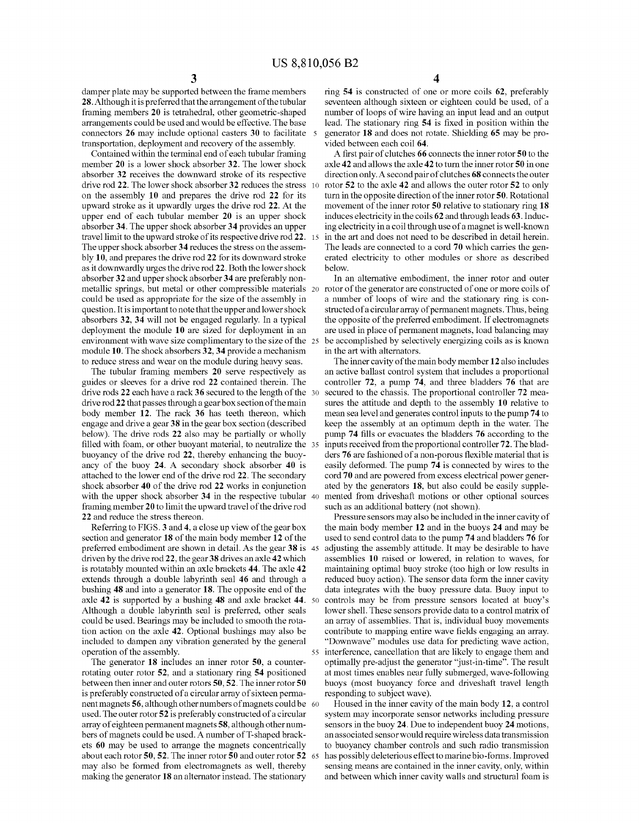damper plate may be supported between the frame members 28. Although it is preferred that the arrangement of the tubular framing members 20 is tetrahedral, other geometric-shaped arrangements could be used and would be effective. The base connectors 26 may include optional casters 30 to facilitate transportation, deployment and recovery of the assembly.

Contained within the terminal end of each tubular framing member 20 is a lower shock absorber 32. The lower shock absorber 32 receives the downward stroke of its respective drive rod 22. The lower shock absorber 32 reduces the stress on the assembly 10 and prepares the drive rod 22 for its upward stroke as it upwardly urges the drive rod 22. At the upper end of each tubular member 20 is an upper shock absorber 34. The upper shock absorber 34 provides an upper travel limit to the upward stroke of its respective drive rod 22. 15 The upper shock absorber 34 reduces the stress on the assem bly 10, and prepares the drive rod 22 for its downward stroke as it downwardly urges the drive rod 22. Both the lower shock absorber 32 and upper shock absorber 34 are preferably non metallic springs, but metal or other compressible materials 20 could be used as appropriate for the size of the assembly in question. It is important to note that the upper and lower shock absorbers 32, 34 will not be engaged regularly. In a typical deployment the module 10 are sized for deployment in an environment with wave size complimentary to the size of the 25 module 10. The shock absorbers 32, 34 provide a mechanism to reduce stress and wear on the module during heavy seas.

The tubular framing members 20 serve respectively as guides or sleeves for a drive rod 22 contained therein. The drive rods 22 each have a rack 36 secured to the length of the 30 drive rod 22 that passes through a gearbox section of the main body member 12. The rack 36 has teeth thereon, which engage and drive a gear 38 in the gear box section (described below). The drive rods 22 also may be partially or wholly ?lled with foam, or other buoyant material, to neutralize the 35 buoyancy of the drive rod 22, thereby enhancing the buoy ancy of the buoy 24. A secondary shock absorber 40 is attached to the lower end of the drive rod 22. The secondary shock absorber 40 of the drive rod 22 works in conjunction with the upper shock absorber 34 in the respective tubular 40 framing member 20 to limit the upward travel of the drive rod 22 and reduce the stress thereon.

Referring to FIGS. 3 and 4, a close up view of the gear box section and generator 18 of the main body member 12 of the preferred embodiment are shown in detail. As the gear 38 is 45 driven by the drive rod 22, the gear 38 drives an axle 42 which is rotatably mounted within an axle brackets 44. The axle 42 extends through a double labyrinth seal 46 and through a bushing 48 and into a generator 18. The opposite end of the axle 42 is supported by a bushing 48 and axle bracket 44. 50 Although a double labyrinth seal is preferred, other seals could be used. Bearings may be included to smooth the rota tion action on the axle 42. Optional bushings may also be included to dampen any vibration generated by the general operation of the assembly.

The generator 18 includes an inner rotor 50, a counter rotating outer rotor 52, and a stationary ring 54 positioned between then inner and outer rotors 50, 52. The inner rotor 50 is preferably constructed of a circular array of sixteen perma nent magnets  ${\bf 56},$  although other numbers of magnets could be  $\,$  60  $\,$ used. The outer rotor 52 is preferably constructed of a circular array of eighteen permanent magnets 58, although other num bers of magnets could be used. A number of T-shaped brack ets 60 may be used to arrange the magnets concentrically about each rotor 50, 52. The inner rotor 50 and outer rotor 52 65 may also be formed from electromagnets as well, thereby making the generator 18 an alternator instead. The stationary

ring 54 is constructed of one or more coils 62, preferably seventeen although sixteen or eighteen could be used, of a number of loops of wire having an input lead and an output lead. The stationary ring 54 is fixed in position within the generator 18 and does not rotate. Shielding 65 may be pro vided between each coil 64.

A first pair of clutches 66 connects the inner rotor 50 to the axle 42 and allows the axle 42 to turn the inner rotor 50 in one direction only. A secondpair of clutches 68 connects the outer rotor 52 to the axle 42 and allows the outer rotor 52 to only turn in the opposite direction of the inner rotor 50. Rotational movement of the inner rotor 50 relative to stationary ring 18 induces electricity in the coils 62 and through leads 63. Induc ing electricity in a coil through use of a magnet is well-known in the art and does not need to be described in detail herein. The leads are connected to a cord 70 which carries the gen erated electricity to other modules or shore as described below.

In an alternative embodiment, the inner rotor and outer rotor of the generator are constructed of one or more coils of a number of loops of wire and the stationary ring is con structed of a circular array of permanent magnets. Thus, being the opposite of the preferred embodiment. If electromagnets are used in place of permanent magnets, load balancing may be accomplished by selectively energizing coils as is known in the art with alternators.

The inner cavity of the main body member 12 also includes an active ballast control system that includes a proportional controller 72, a pump 74, and three bladders 76 that are secured to the chassis. The proportional controller 72 measures the attitude and depth to the assembly 10 relative to mean sea level and generates control inputs to the pump 74 to keep the assembly at an optimum depth in the water. The pump 74 fills or evacuates the bladders 76 according to the inputs received from the proportional controller 72. The blad ders 76 are fashioned of a non-porous flexible material that is easily deformed. The pump 74 is connected by wires to the cord 70 and are powered from excess electrical power gener ated by the generators 18, but also could be easily supple mented from driveshaft motions or other optional sources such as an additional battery (not shown).

55 interference, cancellation that are likely to engage them and Pressure sensors may also be included in the inner cavity of the main body member 12 and in the buoys 24 and may be used to send control data to the pump 74 and bladders 76 for adjusting the assembly attitude. It may be desirable to have assemblies 10 raised or lowered, in relation to waves, for maintaining optimal buoy stroke (too high or low results in reduced buoy action). The sensor data form the inner cavity data integrates with the buoy pressure data. Buoy input to controls may be from pressure sensors located at buoy's lower shell. These sensors provide data to a control matrix of an array of assemblies. That is, individual buoy movements contribute to mapping entire wave fields engaging an array. "Downwave" modules use data for predicting wave action, optimally pre-adjust the generator "just-in-time". The result at most times enables near fully submerged, wave-following buoys (most buoyancy force and driveshaft travel length responding to subject wave).

Housed in the inner cavity of the main body 12, a control system may incorporate sensor networks including pressure sensors in the buoy 24. Due to independent buoy 24 motions, an associated sensor would require wireless data transmission to buoyancy chamber controls and such radio transmission has possibly deleterious effect to marine bio-forms. Improved sensing means are contained in the inner cavity, only, within and between which inner cavity walls and structural foam is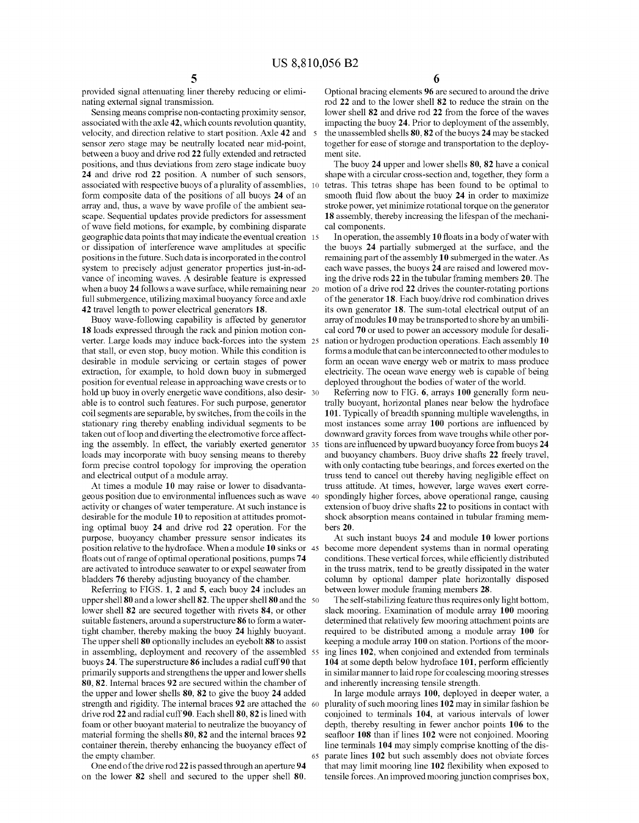provided signal attenuating liner thereby reducing or elimi nating external signal transmission.

Sensing means comprise non-contacting proximity sensor, associated with the axle 42, which counts revolution quantity, velocity, and direction relative to start position. Axle 42 and sensor zero stage may be neutrally located near mid-point, between a buoy and drive rod 22 fully extended and retracted positions, and thus deviations from zero stage indicate buoy 24 and drive rod 22 position. A number of such sensors, associated with respective buoys of a plurality of assemblies, form composite data of the positions of all buoys 24 of an array and, thus, a wave by wave profile of the ambient seascape. Sequential updates provide predictors for assessment of wave field motions, for example, by combining disparate geographic data points that may indicate the eventual creation or dissipation of interference wave amplitudes at specific positions in the future. Such data is incorporated in the control system to precisely adjust generator properties just-in-ad vance of incoming waves. A desirable feature is expressed when a buoy 24 follows a wave surface, while remaining near 20 full submergence, utilizing maximal buoyancy force and axle 42 travel length to power electrical generators 18.

Buoy wave-following capability is affected by generator 18 loads expressed through the rack and pinion motion con verter. Large loads may induce back-forces into the system 25 that stall, or even stop, buoy motion. While this condition is desirable in module servicing or certain stages of power extraction, for example, to hold down buoy in submerged position for eventual release in approaching wave crests or to hold up buoy in overly energetic wave conditions, also desir- 30 able is to control such features. For such purpose, generator coil segments are separable, by switches, from the coils in the stationary ring thereby enabling individual segments to be taken out of loop and diverting the electromotive force affect ing the assembly. In effect, the variably exerted generator 35 loads may incorporate with buoy sensing means to thereby form precise control topology for improving the operation and electrical output of a module array.

At times a module 10 may raise or lower to disadvanta geous position due to environmental influences such as wave 40 activity or changes of water temperature. At such instance is desirable for the module 10 to reposition at attitudes promot ing optimal buoy 24 and drive rod 22 operation. For the purpose, buoyancy chamber pressure sensor indicates its position relative to the hydroface. When a module 10 sinks or 45 floats out of range of optimal operational positions, pumps 74 are activated to introduce seawater to or expel seawater from bladders 76 thereby adjusting buoyancy of the chamber.

Referring to FIGS. 1, 2 and 5, each buoy 24 includes an upper shell 80 and a lower shell 82. The upper shell 80 and the 50 lower shell 82 are secured together with rivets 84, or other suitable fasteners, around a superstructure 86 to form a water tight chamber, thereby making the buoy 24 highly buoyant. The upper shell 80 optionally includes an eyebolt 88 to assist in assembling, deployment and recovery of the assembled 55 buoys 24. The superstructure 86 includes a radial cuff 90 that primarily supports and strengthens the upper and lower shells 80, 82. Internal braces 92 are secured within the chamber of the upper and lower shells 80, 82 to give the buoy 24 added strength and rigidity. The internal braces 92 are attached the 60 drive rod 22 and radial cuff 90. Each shell 80, 82 is lined with foam or other buoyant material to neutralize the buoyancy of material forming the shells 80, 82 and the internal braces 92 container therein, thereby enhancing the buoyancy effect of the empty chamber.

One end of the drive rod 22 is passed through an aperture 94 on the lower 82 shell and secured to the upper shell 80.

65

Optional bracing elements 96 are secured to around the drive rod 22 and to the lower shell 82 to reduce the strain on the lower shell 82 and drive rod 22 from the force of the waves impacting the buoy 24. Prior to deployment of the assembly, the unassembled shells 80, 82 of the buoys 24 may be stacked together for ease of storage and transportation to the deploy ment site.

The buoy 24 upper and lower shells 80, 82 have a conical shape with a circular cross-section and, together, they form a tetras. This tetras shape has been found to be optimal to smooth fluid flow about the buoy 24 in order to maximize stroke power, yet minimize rotational torque on the generator 18 assembly, thereby increasing the lifespan of the mechani cal components.

In operation, the assembly  $10$  floats in a body of water with the buoys 24 partially submerged at the surface, and the remaining part of the assembly 10 submerged in the water. As each wave passes, the buoys 24 are raised and lowered mov ing the drive rods 22 in the tubular framing members 20. The motion of a drive rod 22 drives the counter-rotating portions of the generator 18. Each buoy/ drive rod combination drives its own generator 18. The sum-total electrical output of an array of modules 10 may be transported to shore by an umbili cal cord 70 or used to power an accessory module for desali nation or hydrogen production operations. Each assembly 10 forms a module that can be interconnected to other modules to form an ocean wave energy web or matrix to mass produce electricity. The ocean wave energy web is capable of being deployed throughout the bodies of water of the world.

Referring now to FIG. 6, arrays 100 generally form neu trally buoyant, horizontal planes near below the hydroface 101. Typically of breadth spanning multiple wavelengths, in most instances some array 100 portions are influenced by downward gravity forces from wave troughs while other por tions are influenced by upward buoyancy force from buoys 24 and buoyancy chambers. Buoy drive shafts 22 freely travel, with only contacting tube bearings, and forces exerted on the truss tend to cancel out thereby having negligible effect on truss attitude. At times, however, large waves exert corre spondingly higher forces, above operational range, causing extension of buoy drive shafts 22 to positions in contact with shock absorption means contained in tubular framing mem bers 20.

At such instant buoys 24 and module 10 lower portions become more dependent systems than in normal operating conditions. These vertical forces, while efficiently distributed in the truss matrix, tend to be greatly dissipated in the water column by optional damper plate horizontally disposed between lower module framing members 28.

The self-stabilizing feature thus requires only light bottom, slack mooring. Examination of module array 100 mooring determined that relatively few mooring attachment points are required to be distributed among a module array 100 for keeping a module array 100 on station. Portions of the moor ing lines 102, when conjoined and extended from terminals 104 at some depth below hydroface 101, perform efficiently in similar manner to laid rope for coalescing mooring stresses and inherently increasing tensile strength.

In large module arrays 100, deployed in deeper water, a plurality of such mooring lines 102 may in similar fashion be conjoined to terminals 104, at various intervals of lower depth, thereby resulting in fewer anchor points 106 to the seafloor 108 than if lines 102 were not conjoined. Mooring line terminals 104 may simply comprise knotting of the dis parate lines 102 but such assembly does not obviate forces that may limit mooring line 102 flexibility when exposed to tensile forces. An improved mooring junction comprises box,